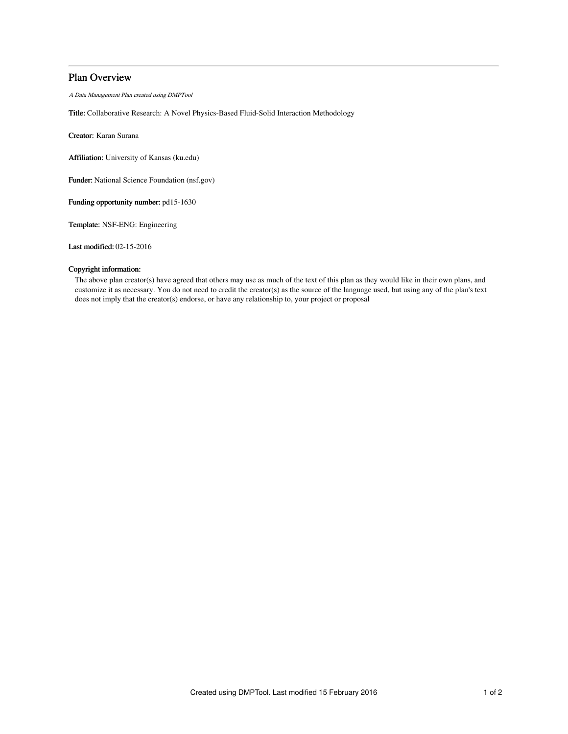# Plan Overview

A Data Management Plan created using DMPTool

Title: Collaborative Research: A Novel Physics-Based Fluid-Solid Interaction Methodology

Creator: Karan Surana

Affiliation: University of Kansas (ku.edu)

Funder: National Science Foundation (nsf.gov)

Funding opportunity number: pd15-1630

Template: NSF-ENG: Engineering

Last modified: 02-15-2016

## Copyright information:

The above plan creator(s) have agreed that others may use as much of the text of this plan as they would like in their own plans, and customize it as necessary. You do not need to credit the creator(s) as the source of the language used, but using any of the plan's text does not imply that the creator(s) endorse, or have any relationship to, your project or proposal